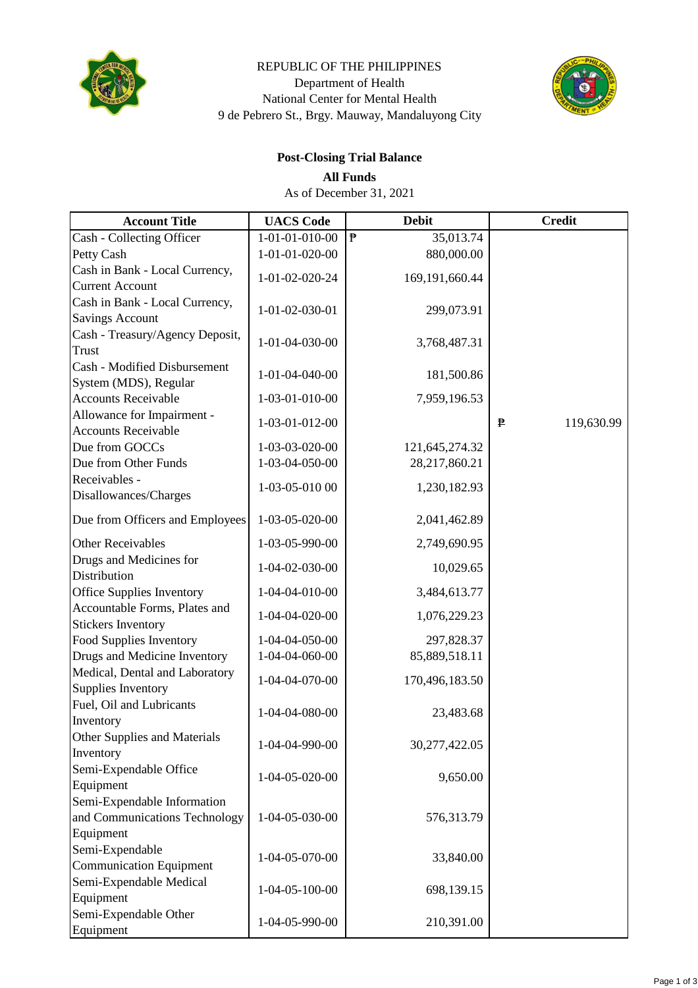

### REPUBLIC OF THE PHILIPPINES Department of Health National Center for Mental Health 9 de Pebrero St., Brgy. Mauway, Mandaluyong City



# **Post-Closing Trial Balance**

**All Funds**

As of December 31, 2021

| <b>Account Title</b>                                 | <b>UACS</b> Code         | <b>Debit</b>              | <b>Credit</b>   |
|------------------------------------------------------|--------------------------|---------------------------|-----------------|
| Cash - Collecting Officer                            | 1-01-01-010-00           | $\mathbf{P}$<br>35,013.74 |                 |
| Petty Cash                                           | 1-01-01-020-00           | 880,000.00                |                 |
| Cash in Bank - Local Currency,                       | 1-01-02-020-24           | 169,191,660.44            |                 |
| <b>Current Account</b>                               |                          |                           |                 |
| Cash in Bank - Local Currency,                       | 1-01-02-030-01           | 299,073.91                |                 |
| <b>Savings Account</b>                               |                          |                           |                 |
| Cash - Treasury/Agency Deposit,                      | 1-01-04-030-00           | 3,768,487.31              |                 |
| Trust                                                |                          |                           |                 |
| <b>Cash - Modified Disbursement</b>                  | 1-01-04-040-00           | 181,500.86                |                 |
| System (MDS), Regular                                |                          |                           |                 |
| <b>Accounts Receivable</b>                           | 1-03-01-010-00           | 7,959,196.53              |                 |
| Allowance for Impairment -                           | 1-03-01-012-00           |                           | 119,630.99<br>₱ |
| <b>Accounts Receivable</b>                           |                          |                           |                 |
| Due from GOCCs                                       | 1-03-03-020-00           | 121,645,274.32            |                 |
| Due from Other Funds                                 | 1-03-04-050-00           | 28,217,860.21             |                 |
| Receivables -                                        | 1-03-05-010 00           | 1,230,182.93              |                 |
| Disallowances/Charges                                |                          |                           |                 |
| Due from Officers and Employees                      | 1-03-05-020-00           | 2,041,462.89              |                 |
| <b>Other Receivables</b>                             | 1-03-05-990-00           | 2,749,690.95              |                 |
| Drugs and Medicines for                              |                          |                           |                 |
| Distribution                                         | 1-04-02-030-00           | 10,029.65                 |                 |
| <b>Office Supplies Inventory</b>                     | 1-04-04-010-00           | 3,484,613.77              |                 |
| Accountable Forms, Plates and                        | 1-04-04-020-00           | 1,076,229.23              |                 |
| <b>Stickers Inventory</b>                            |                          |                           |                 |
| Food Supplies Inventory                              | 1-04-04-050-00           | 297,828.37                |                 |
| Drugs and Medicine Inventory                         | 1-04-04-060-00           | 85,889,518.11             |                 |
| Medical, Dental and Laboratory<br>Supplies Inventory | 1-04-04-070-00           | 170,496,183.50            |                 |
| Fuel, Oil and Lubricants                             |                          |                           |                 |
| Inventory                                            | 1-04-04-080-00           | 23,483.68                 |                 |
| Other Supplies and Materials                         |                          |                           |                 |
| Inventory                                            | 1-04-04-990-00           | 30,277,422.05             |                 |
| Semi-Expendable Office                               |                          |                           |                 |
| Equipment                                            | 1-04-05-020-00           | 9,650.00                  |                 |
| Semi-Expendable Information                          |                          |                           |                 |
| and Communications Technology                        | 1-04-05-030-00           | 576,313.79                |                 |
| Equipment                                            |                          |                           |                 |
| Semi-Expendable                                      |                          |                           |                 |
| <b>Communication Equipment</b>                       | 1-04-05-070-00           | 33,840.00                 |                 |
| Semi-Expendable Medical                              | $1 - 04 - 05 - 100 - 00$ |                           |                 |
| Equipment                                            |                          | 698,139.15                |                 |
| Semi-Expendable Other                                | 1-04-05-990-00           | 210,391.00                |                 |
| Equipment                                            |                          |                           |                 |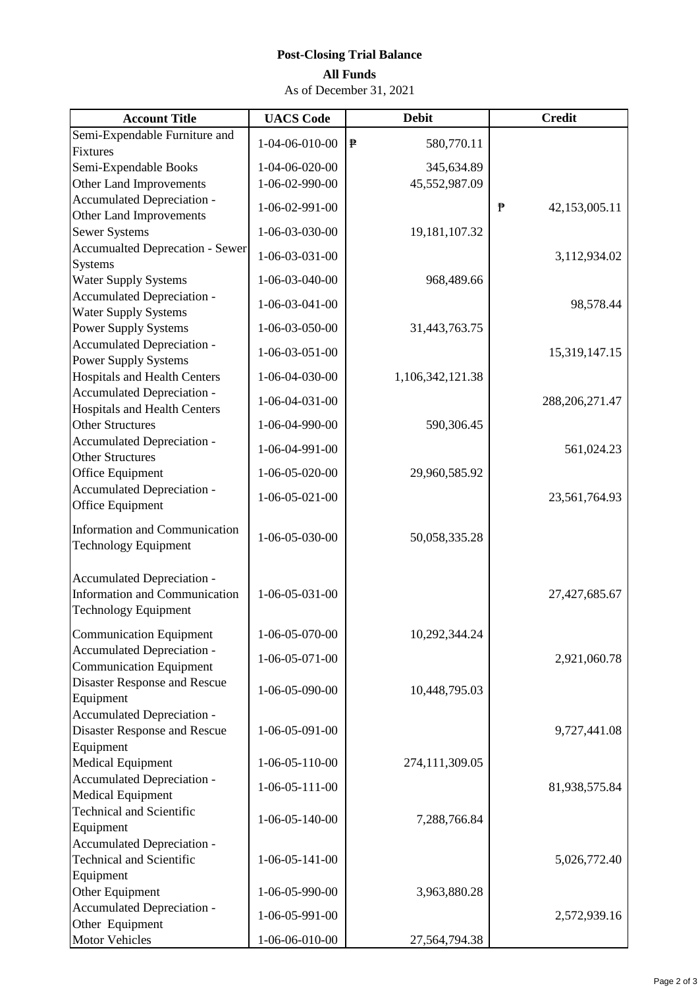## **Post-Closing Trial Balance**

### **All Funds**

As of December 31, 2021

| <b>Account Title</b>                                                                              | <b>UACS</b> Code         | <b>Debit</b>               | <b>Credit</b>      |
|---------------------------------------------------------------------------------------------------|--------------------------|----------------------------|--------------------|
| Semi-Expendable Furniture and                                                                     | 1-04-06-010-00           | $\mathbf{P}$<br>580,770.11 |                    |
| Fixtures                                                                                          |                          |                            |                    |
| Semi-Expendable Books                                                                             | 1-04-06-020-00           | 345,634.89                 |                    |
| Other Land Improvements                                                                           | 1-06-02-990-00           | 45,552,987.09              |                    |
| Accumulated Depreciation -                                                                        | 1-06-02-991-00           |                            | ₱<br>42,153,005.11 |
| Other Land Improvements                                                                           |                          |                            |                    |
| <b>Sewer Systems</b>                                                                              | 1-06-03-030-00           | 19,181,107.32              |                    |
| <b>Accumualted Deprecation - Sewer</b>                                                            | 1-06-03-031-00           |                            | 3,112,934.02       |
| <b>Systems</b>                                                                                    |                          |                            |                    |
| <b>Water Supply Systems</b>                                                                       | 1-06-03-040-00           | 968,489.66                 |                    |
| Accumulated Depreciation -<br><b>Water Supply Systems</b>                                         | $1 - 06 - 03 - 041 - 00$ |                            | 98,578.44          |
| <b>Power Supply Systems</b>                                                                       | 1-06-03-050-00           | 31,443,763.75              |                    |
| Accumulated Depreciation -                                                                        |                          |                            |                    |
| <b>Power Supply Systems</b>                                                                       | $1 - 06 - 03 - 051 - 00$ |                            | 15,319,147.15      |
| <b>Hospitals and Health Centers</b>                                                               | 1-06-04-030-00           | 1,106,342,121.38           |                    |
| Accumulated Depreciation -                                                                        |                          |                            |                    |
| <b>Hospitals and Health Centers</b>                                                               | $1 - 06 - 04 - 031 - 00$ |                            | 288, 206, 271.47   |
| <b>Other Structures</b>                                                                           | 1-06-04-990-00           | 590,306.45                 |                    |
| Accumulated Depreciation -                                                                        |                          |                            |                    |
| <b>Other Structures</b>                                                                           | 1-06-04-991-00           |                            | 561,024.23         |
| Office Equipment                                                                                  | 1-06-05-020-00           | 29,960,585.92              |                    |
| Accumulated Depreciation -                                                                        | 1-06-05-021-00           |                            | 23,561,764.93      |
| Office Equipment                                                                                  |                          |                            |                    |
| <b>Information and Communication</b><br><b>Technology Equipment</b>                               | 1-06-05-030-00           | 50,058,335.28              |                    |
| Accumulated Depreciation -<br><b>Information and Communication</b><br><b>Technology Equipment</b> | 1-06-05-031-00           |                            | 27,427,685.67      |
| Communication Equipment                                                                           | 1-06-05-070-00           | 10,292,344.24              |                    |
| Accumulated Depreciation -                                                                        | 1-06-05-071-00           |                            | 2,921,060.78       |
| <b>Communication Equipment</b>                                                                    |                          |                            |                    |
| <b>Disaster Response and Rescue</b>                                                               | 1-06-05-090-00           | 10,448,795.03              |                    |
| Equipment                                                                                         |                          |                            |                    |
| Accumulated Depreciation -                                                                        |                          |                            |                    |
| <b>Disaster Response and Rescue</b>                                                               | 1-06-05-091-00           |                            | 9,727,441.08       |
| Equipment                                                                                         |                          |                            |                    |
| <b>Medical Equipment</b><br>Accumulated Depreciation -                                            | $1 - 06 - 05 - 110 - 00$ | 274,111,309.05             |                    |
| <b>Medical Equipment</b>                                                                          | $1-06-05-111-00$         |                            | 81,938,575.84      |
| <b>Technical and Scientific</b>                                                                   |                          |                            |                    |
| Equipment                                                                                         | $1 - 06 - 05 - 140 - 00$ | 7,288,766.84               |                    |
| Accumulated Depreciation -                                                                        |                          |                            |                    |
| <b>Technical and Scientific</b>                                                                   | $1-06-05-141-00$         |                            | 5,026,772.40       |
| Equipment                                                                                         |                          |                            |                    |
| Other Equipment                                                                                   | 1-06-05-990-00           | 3,963,880.28               |                    |
| Accumulated Depreciation -                                                                        | 1-06-05-991-00           |                            | 2,572,939.16       |
| Other Equipment                                                                                   |                          |                            |                    |
| Motor Vehicles                                                                                    | 1-06-06-010-00           | 27,564,794.38              |                    |